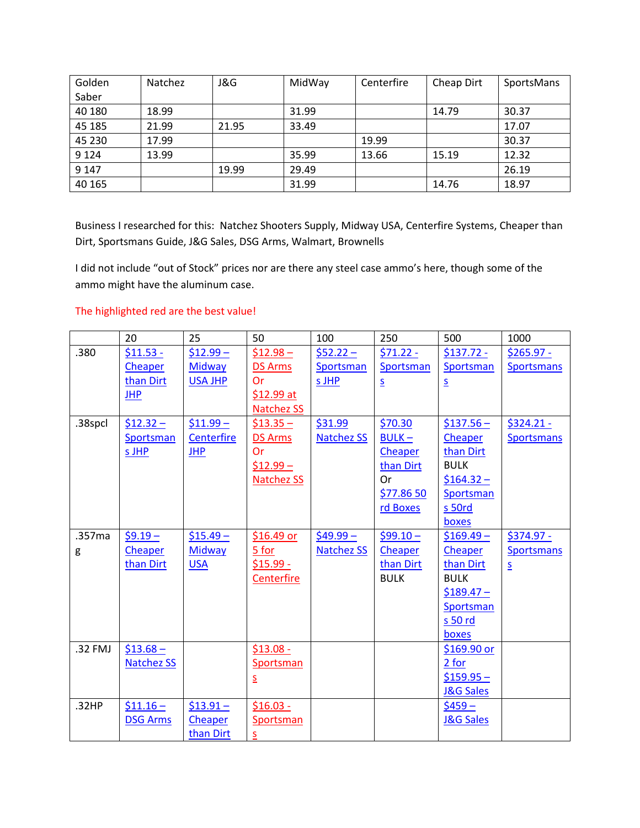| Golden  | <b>Natchez</b> | J&G   | MidWay | Centerfire | Cheap Dirt | SportsMans |
|---------|----------------|-------|--------|------------|------------|------------|
| Saber   |                |       |        |            |            |            |
| 40 180  | 18.99          |       | 31.99  |            | 14.79      | 30.37      |
| 45 185  | 21.99          | 21.95 | 33.49  |            |            | 17.07      |
| 45 230  | 17.99          |       |        | 19.99      |            | 30.37      |
| 9 1 2 4 | 13.99          |       | 35.99  | 13.66      | 15.19      | 12.32      |
| 9 1 4 7 |                | 19.99 | 29.49  |            |            | 26.19      |
| 40 165  |                |       | 31.99  |            | 14.76      | 18.97      |

Business I researched for this: Natchez Shooters Supply, Midway USA, Centerfire Systems, Cheaper than Dirt, Sportsmans Guide, J&G Sales, DSG Arms, Walmart, Brownells

I did not include "out of Stock" prices nor are there any steel case ammo's here, though some of the ammo might have the aluminum case.

## The highlighted red are the best value!

|         | 20                | 25             | 50                      | 100               | 250                     | 500                     | 1000                     |
|---------|-------------------|----------------|-------------------------|-------------------|-------------------------|-------------------------|--------------------------|
| .380    | $$11.53 -$        | $$12.99-$      | $$12.98 -$              | $$52.22 -$        | $$71.22 -$              | $$137.72 -$             | $$265.97 -$              |
|         | Cheaper           | <b>Midway</b>  | <b>DS Arms</b>          | Sportsman         | Sportsman               | Sportsman               | <b>Sportsmans</b>        |
|         | than Dirt         | <b>USA JHP</b> | Or                      | s JHP             | $\overline{\mathsf{S}}$ | $\overline{\mathsf{S}}$ |                          |
|         | <b>JHP</b>        |                | \$12.99 $at$            |                   |                         |                         |                          |
|         |                   |                | <b>Natchez SS</b>       |                   |                         |                         |                          |
| .38spcl | $$12.32 -$        | $$11.99-$      | $$13.35 -$              | \$31.99           | \$70.30                 | $$137.56 -$             | $$324.21 -$              |
|         | Sportsman         | Centerfire     | <b>DS Arms</b>          | <b>Natchez SS</b> | $BULK -$                | <b>Cheaper</b>          | <b>Sportsmans</b>        |
|         | s JHP             | <b>JHP</b>     | Or                      |                   | Cheaper                 | than Dirt               |                          |
|         |                   |                | $$12.99 -$              |                   | than Dirt               | <b>BULK</b>             |                          |
|         |                   |                | <b>Natchez SS</b>       |                   | 0r                      | $$164.32 -$             |                          |
|         |                   |                |                         |                   | \$77.86 50              | Sportsman               |                          |
|         |                   |                |                         |                   | rd Boxes                | s 50rd                  |                          |
|         |                   |                |                         |                   |                         | boxes                   |                          |
| .357ma  | $$9.19 -$         | $$15.49 -$     | $$16.49$ or             | $$49.99 -$        | $$99.10 -$              | $$169.49 -$             | $$374.97 -$              |
| g       | Cheaper           | <b>Midway</b>  | 5 for                   | <b>Natchez SS</b> | Cheaper                 | Cheaper                 | <b>Sportsmans</b>        |
|         | than Dirt         | <b>USA</b>     | $$15.99 -$              |                   | than Dirt               | than Dirt               | $\underline{\mathsf{S}}$ |
|         |                   |                | Centerfire              |                   | <b>BULK</b>             | <b>BULK</b>             |                          |
|         |                   |                |                         |                   |                         | $$189.47-$              |                          |
|         |                   |                |                         |                   |                         | Sportsman               |                          |
|         |                   |                |                         |                   |                         | s 50 rd                 |                          |
|         |                   |                |                         |                   |                         | boxes                   |                          |
| .32 FMJ | $$13.68 -$        |                | $$13.08 -$              |                   |                         | \$169.90 or             |                          |
|         | <b>Natchez SS</b> |                | Sportsman               |                   |                         | 2 for                   |                          |
|         |                   |                | $\overline{\mathsf{S}}$ |                   |                         | $$159.95 -$             |                          |
|         |                   |                |                         |                   |                         | <b>J&amp;G Sales</b>    |                          |
| .32HP   | $$11.16 -$        | $$13.91 -$     | $$16.03 -$              |                   |                         | $$459 -$                |                          |
|         | <b>DSG Arms</b>   | Cheaper        | Sportsman               |                   |                         | J&G Sales               |                          |
|         |                   | than Dirt      | S                       |                   |                         |                         |                          |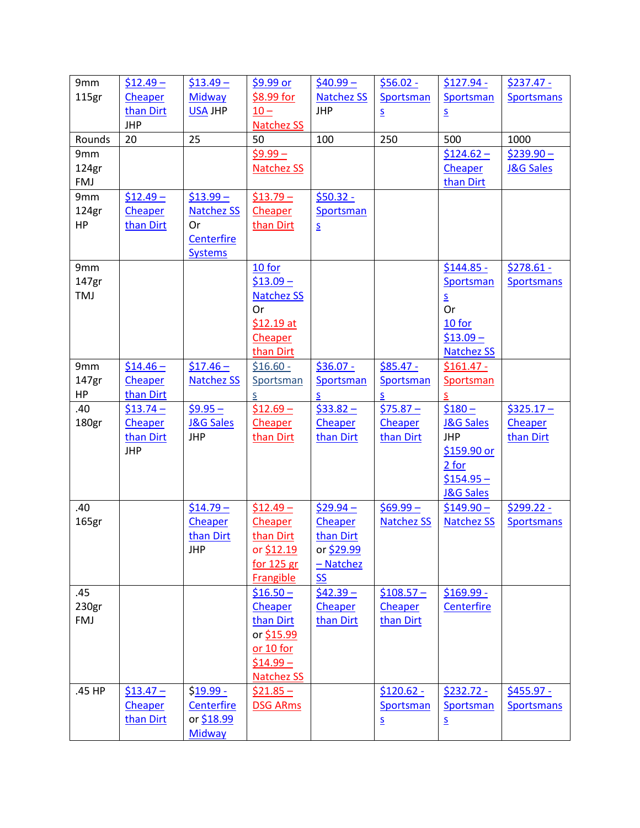| 9mm    | $$12.49 -$     | $$13.49 -$           | \$9.99 or         | $$40.99 -$                           | $$56.02 -$              | $$127.94 -$             | $$237.47 -$       |
|--------|----------------|----------------------|-------------------|--------------------------------------|-------------------------|-------------------------|-------------------|
| 115gr  | Cheaper        | <b>Midway</b>        | \$8.99 for        | <b>Natchez SS</b>                    | Sportsman               | Sportsman               | <b>Sportsmans</b> |
|        | than Dirt      | <b>USA JHP</b>       | $10 -$            | <b>JHP</b>                           | $\overline{\mathbf{S}}$ | $\overline{\mathsf{S}}$ |                   |
|        | <b>JHP</b>     |                      | <b>Natchez SS</b> |                                      |                         |                         |                   |
| Rounds | 20             | 25                   | 50                | 100                                  | 250                     | 500                     | 1000              |
| 9mm    |                |                      | $59.99 -$         |                                      |                         | $$124.62 -$             | $$239.90 -$       |
| 124gr  |                |                      | Natchez SS        |                                      |                         | Cheaper                 | J&G Sales         |
| FMJ    |                |                      |                   |                                      |                         | than Dirt               |                   |
| 9mm    | $$12.49-$      | $$13.99 -$           | $$13.79-$         | $$50.32 -$                           |                         |                         |                   |
| 124gr  | <b>Cheaper</b> | <b>Natchez SS</b>    | Cheaper           | Sportsman                            |                         |                         |                   |
| HP     | than Dirt      | Or                   | than Dirt         | $\underline{\underline{\mathsf{S}}}$ |                         |                         |                   |
|        |                | Centerfire           |                   |                                      |                         |                         |                   |
|        |                | <b>Systems</b>       |                   |                                      |                         |                         |                   |
| 9mm    |                |                      | 10 for            |                                      |                         | $$144.85 -$             | $$278.61 -$       |
| 147gr  |                |                      | $$13.09 -$        |                                      |                         | Sportsman               | <b>Sportsmans</b> |
| TMJ    |                |                      | <b>Natchez SS</b> |                                      |                         | $\overline{\mathsf{S}}$ |                   |
|        |                |                      | Or                |                                      |                         | Or                      |                   |
|        |                |                      | $$12.19$ at       |                                      |                         | 10 for                  |                   |
|        |                |                      | <b>Cheaper</b>    |                                      |                         | $$13.09-$               |                   |
|        |                |                      | than Dirt         |                                      |                         | <b>Natchez SS</b>       |                   |
| 9mm    | $$14.46 -$     | $$17.46 -$           | $$16.60 -$        | $$36.07 -$                           | $$85.47 -$              | $$161.47 -$             |                   |
| 147gr  | <b>Cheaper</b> | <b>Natchez SS</b>    | Sportsman         | Sportsman                            | Sportsman               | Sportsman               |                   |
| HP     | than Dirt      |                      | S                 | S                                    | S                       | s                       |                   |
| .40    | $$13.74-$      | $$9.95 -$            | $$12.69-$         | $$33.82 -$                           | $$75.87 -$              | $$180 -$                | $$325.17-$        |
| 180gr  | <b>Cheaper</b> | <b>J&amp;G Sales</b> | Cheaper           | <b>Cheaper</b>                       | <b>Cheaper</b>          | J&G Sales               | Cheaper           |
|        | than Dirt      | <b>JHP</b>           | than Dirt         | than Dirt                            | than Dirt               | <b>JHP</b>              | than Dirt         |
|        | <b>JHP</b>     |                      |                   |                                      |                         | \$159.90 or             |                   |
|        |                |                      |                   |                                      |                         | 2 for                   |                   |
|        |                |                      |                   |                                      |                         | $$154.95 -$             |                   |
|        |                |                      |                   |                                      |                         | <b>J&amp;G Sales</b>    |                   |
| .40    |                | $$14.79 -$           | $$12.49 -$        | $$29.94 -$                           | $$69.99 -$              | $$149.90 -$             | $$299.22 -$       |
| 165gr  |                | <b>Cheaper</b>       | Cheaper           | <b>Cheaper</b>                       | <b>Natchez SS</b>       | <b>Natchez SS</b>       | <b>Sportsmans</b> |
|        |                | than Dirt            | than Dirt         | than Dirt                            |                         |                         |                   |
|        |                | <b>JHP</b>           | or \$12.19        | or \$29.99                           |                         |                         |                   |
|        |                |                      | for $125$ gr      | - Natchez                            |                         |                         |                   |
|        |                |                      | <b>Frangible</b>  | <b>SS</b>                            |                         |                         |                   |
| .45    |                |                      | $$16.50 -$        | $$42.39 -$                           | $$108.57 -$             | $$169.99 -$             |                   |
| 230gr  |                |                      | <b>Cheaper</b>    | <b>Cheaper</b>                       | <b>Cheaper</b>          | Centerfire              |                   |
| FMJ    |                |                      | than Dirt         | than Dirt                            | than Dirt               |                         |                   |
|        |                |                      | or \$15.99        |                                      |                         |                         |                   |
|        |                |                      | or 10 for         |                                      |                         |                         |                   |
|        |                |                      | $$14.99 -$        |                                      |                         |                         |                   |
|        |                |                      | <b>Natchez SS</b> |                                      |                         |                         |                   |
| .45 HP | $$13.47-$      | $$19.99 -$           | $$21.85 -$        |                                      | $$120.62 -$             | $$232.72 -$             | $$455.97 -$       |
|        | <b>Cheaper</b> | Centerfire           | <b>DSG ARms</b>   |                                      | Sportsman               | Sportsman               | <b>Sportsmans</b> |
|        | than Dirt      | or \$18.99           |                   |                                      | $\overline{\mathsf{S}}$ | $\overline{\mathsf{z}}$ |                   |
|        |                | <b>Midway</b>        |                   |                                      |                         |                         |                   |